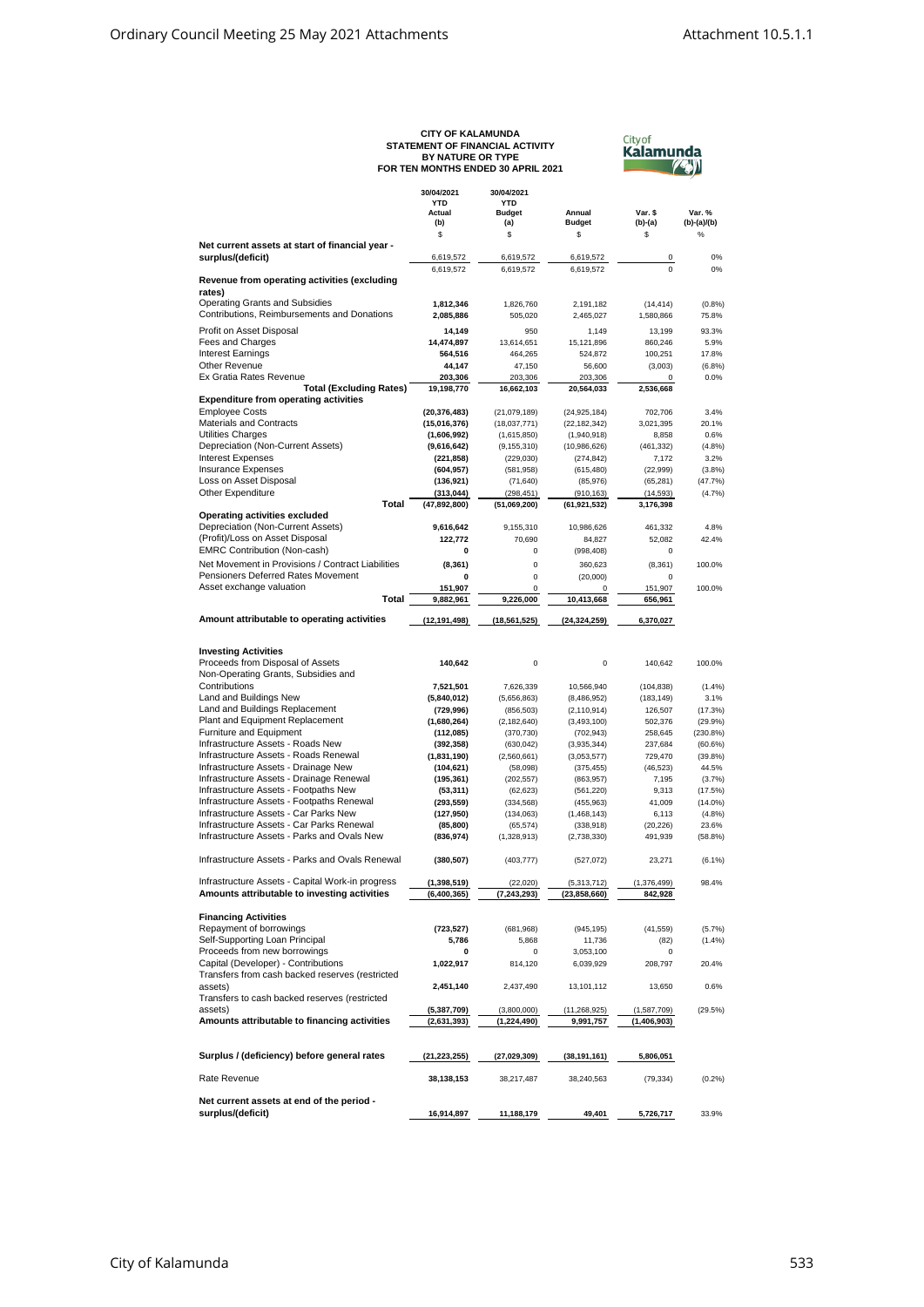|                                                                                        | CITY OF KALAMUNDA<br>STATEMENT OF FINANCIAL ACTIVITY<br>BY NATURE OR TYPE<br>FOR TEN MONTHS ENDED 30 APRIL 2021 | <b>City of</b><br>Kalamunda |                               |                        |                      |
|----------------------------------------------------------------------------------------|-----------------------------------------------------------------------------------------------------------------|-----------------------------|-------------------------------|------------------------|----------------------|
|                                                                                        |                                                                                                                 |                             |                               |                        |                      |
|                                                                                        | 30/04/2021<br><b>YTD</b>                                                                                        | 30/04/2021<br><b>YTD</b>    |                               |                        |                      |
|                                                                                        | Actual<br>(b)                                                                                                   | <b>Budget</b><br>(a)        | Annual<br><b>Budget</b>       | Var. \$<br>(b)-(a)     | Var.%<br>(b)-(a)/(b) |
| Net current assets at start of financial year -                                        | \$                                                                                                              | \$                          | \$                            | \$                     | %                    |
| surplus/(deficit)                                                                      | 6,619,572                                                                                                       | 6,619,572                   | 6,619,572                     | 0                      | 0%                   |
|                                                                                        | 6,619,572                                                                                                       | 6,619,572                   | 6,619,572                     | $\mathbf 0$            | 0%                   |
| Revenue from operating activities (excluding                                           |                                                                                                                 |                             |                               |                        |                      |
| rates)<br><b>Operating Grants and Subsidies</b>                                        | 1,812,346                                                                                                       | 1,826,760                   | 2,191,182                     | (14, 414)              | (0.8%                |
| Contributions, Reimbursements and Donations                                            | 2,085,886                                                                                                       | 505,020                     | 2,465,027                     | 1,580,866              | 75.8%                |
| Profit on Asset Disposal                                                               | 14,149                                                                                                          | 950                         | 1,149                         | 13,199                 | 93.3%                |
| Fees and Charges                                                                       | 14,474,897                                                                                                      | 13,614,651                  | 15,121,896                    | 860,246                | 5.9%                 |
| <b>Interest Earnings</b>                                                               | 564,516                                                                                                         | 464,265                     | 524,872                       | 100,251                | 17.8%                |
| Other Revenue                                                                          | 44,147                                                                                                          | 47,150                      | 56,600                        | (3,003)                | (6.8%)               |
| Ex Gratia Rates Revenue<br><b>Total (Excluding Rates)</b>                              | 203,306<br>19,198,770                                                                                           | 203,306<br>16,662,103       | 203,306<br>20,564,033         | 0<br>2,536,668         | 0.0%                 |
| <b>Expenditure from operating activities</b>                                           |                                                                                                                 |                             |                               |                        |                      |
| <b>Employee Costs</b>                                                                  | (20, 376, 483)                                                                                                  | (21,079,189)                | (24, 925, 184)                | 702,706                | 3.4%                 |
| <b>Materials and Contracts</b>                                                         | (15,016,376)                                                                                                    | (18,037,771)                | (22, 182, 342)                | 3,021,395              | 20.1%                |
| <b>Utilities Charges</b>                                                               | (1,606,992)                                                                                                     | (1,615,850)                 | (1,940,918)                   | 8,858                  | 0.6%                 |
| Depreciation (Non-Current Assets)<br><b>Interest Expenses</b>                          | (9,616,642)<br>(221, 858)                                                                                       | (9, 155, 310)<br>(229, 030) | (10, 986, 626)<br>(274, 842)  | (461, 332)<br>7,172    | (4.8%<br>3.2%        |
| <b>Insurance Expenses</b>                                                              | (604, 957)                                                                                                      | (581, 958)                  | (615, 480)                    | (22,999)               | (3.8%)               |
| Loss on Asset Disposal                                                                 | (136, 921)                                                                                                      | (71, 640)                   | (85, 976)                     | (65, 281)              | (47.7%)              |
| Other Expenditure                                                                      | (313, 044)                                                                                                      | (298, 451)                  | (910, 163)                    | (14, 593)              | (4.7%                |
| <b>Total</b>                                                                           | (47, 892, 800)                                                                                                  | (51,069,200)                | (61, 921, 532)                | 3,176,398              |                      |
| Operating activities excluded<br>Depreciation (Non-Current Assets)                     | 9,616,642                                                                                                       | 9,155,310                   |                               | 461,332                | 4.8%                 |
| (Profit)/Loss on Asset Disposal                                                        | 122,772                                                                                                         | 70,690                      | 10,986,626<br>84,827          | 52,082                 | 42.4%                |
| <b>EMRC Contribution (Non-cash)</b>                                                    | 0                                                                                                               | $\Omega$                    | (998, 408)                    | 0                      |                      |
| Net Movement in Provisions / Contract Liabilities                                      | (8, 361)                                                                                                        | 0                           | 360,623                       | (8, 361)               | 100.0%               |
| Pensioners Deferred Rates Movement                                                     | 0                                                                                                               | 0                           | (20,000)                      | 0                      |                      |
| Asset exchange valuation                                                               | 151,907                                                                                                         | 0                           | 0                             | 151,907                | 100.0%               |
| Total                                                                                  | 9,882,961                                                                                                       | 9,226,000                   | 10,413,668                    | 656,961                |                      |
| Amount attributable to operating activities                                            | (12, 191, 498)                                                                                                  | (18, 561, 525)              | (24, 324, 259)                | 6,370,027              |                      |
|                                                                                        |                                                                                                                 |                             |                               |                        |                      |
| <b>Investing Activities</b><br>Proceeds from Disposal of Assets                        | 140,642                                                                                                         | 0                           | $\mathbf 0$                   | 140,642                | 100.0%               |
| Non-Operating Grants, Subsidies and                                                    |                                                                                                                 |                             |                               |                        |                      |
| Contributions                                                                          | 7,521,501                                                                                                       | 7,626,339                   | 10,566,940                    | (104, 838)             | (1.4%                |
| Land and Buildings New                                                                 | (5,840,012)                                                                                                     | (5,656,863)                 | (8,486,952)                   | (183, 149)             | 3.1%                 |
| Land and Buildings Replacement                                                         | (729, 996)                                                                                                      | (856, 503)                  | (2, 110, 914)                 | 126,507                | (17.3%)              |
| Plant and Equipment Replacement<br>Furniture and Equipment                             | (1,680,264)                                                                                                     | (2, 182, 640)               | (3, 493, 100)                 | 502,376                | (29.9%               |
| Infrastructure Assets - Roads New                                                      | (112,085)<br>(392, 358)                                                                                         | (370, 730)<br>(630, 042)    | (702, 943)<br>(3,935,344)     | 258,645<br>237,684     | (230.8%<br>(60.6%    |
| Infrastructure Assets - Roads Renewal                                                  | (1,831,190)                                                                                                     | (2,560,661)                 | (3,053,577)                   | 729,470                | (39.8%               |
| Infrastructure Assets - Drainage New                                                   | (104, 621)                                                                                                      | (58,098)                    | (375, 455)                    | (46, 523)              | 44.5%                |
| Infrastructure Assets - Drainage Renewal                                               | (195, 361)                                                                                                      | (202, 557)                  | (863, 957)                    | 7,195                  | (3.7%                |
| Infrastructure Assets - Footpaths New                                                  | (53, 311)                                                                                                       | (62, 623)                   | (561, 220)                    | 9,313                  | (17.5%)              |
| Infrastructure Assets - Footpaths Renewal<br>Infrastructure Assets - Car Parks New     | (293, 559)<br>(127, 950)                                                                                        | (334, 568)                  | (455, 963)                    | 41,009<br>6,113        | $(14.0\%)$<br>(4.8%) |
| Infrastructure Assets - Car Parks Renewal                                              | (85, 800)                                                                                                       | (134, 063)<br>(65, 574)     | (1,468,143)<br>(338, 918)     | (20, 226)              | 23.6%                |
| Infrastructure Assets - Parks and Ovals New                                            | (836, 974)                                                                                                      | (1,328,913)                 | (2,738,330)                   | 491,939                | (58.8%)              |
| Infrastructure Assets - Parks and Ovals Renewal                                        | (380, 507)                                                                                                      | (403, 777)                  | (527, 072)                    | 23,271                 | (6.1%                |
| Infrastructure Assets - Capital Work-in progress                                       |                                                                                                                 |                             |                               |                        | 98.4%                |
| Amounts attributable to investing activities                                           | (1,398,519)<br>(6,400,365)                                                                                      | (22, 020)<br>(7, 243, 293)  | (5,313,712)<br>(23, 858, 660) | (1,376,499)<br>842,928 |                      |
| <b>Financing Activities</b>                                                            |                                                                                                                 |                             |                               |                        |                      |
| Repayment of borrowings                                                                | (723, 527)                                                                                                      | (681,968)                   | (945, 195)                    | (41, 559)              | (5.7%                |
| Self-Supporting Loan Principal                                                         | 5,786                                                                                                           | 5,868                       | 11,736                        | (82)                   | (1.4%                |
| Proceeds from new borrowings                                                           | 0                                                                                                               | 0                           | 3,053,100                     | 0                      |                      |
| Capital (Developer) - Contributions<br>Transfers from cash backed reserves (restricted | 1,022,917                                                                                                       | 814,120                     | 6,039,929                     | 208,797                | 20.4%                |
| assets)                                                                                | 2,451,140                                                                                                       | 2,437,490                   | 13,101,112                    | 13,650                 | 0.6%                 |
| Transfers to cash backed reserves (restricted                                          |                                                                                                                 |                             |                               |                        |                      |
| assets)                                                                                | (5,387,709)                                                                                                     | (3,800,000)                 | (11, 268, 925)                | (1,587,709)            | (29.5%)              |
| Amounts attributable to financing activities                                           | (2,631,393)                                                                                                     | (1, 224, 490)               | 9,991,757                     | (1,406,903)            |                      |
| Surplus / (deficiency) before general rates                                            | (21, 223, 255)                                                                                                  | (27, 029, 309)              | (38, 191, 161)                | 5,806,051              |                      |
| Rate Revenue                                                                           | 38,138,153                                                                                                      | 38,217,487                  | 38,240,563                    | (79, 334)              | (0.2%                |
| Net current assets at end of the period -                                              |                                                                                                                 |                             |                               |                        |                      |
| surplus/(deficit)                                                                      | 16,914,897                                                                                                      | 11,188,179                  | 49,401                        | 5,726,717              | 33.9%                |

**CITY OF KALAMUNDA**